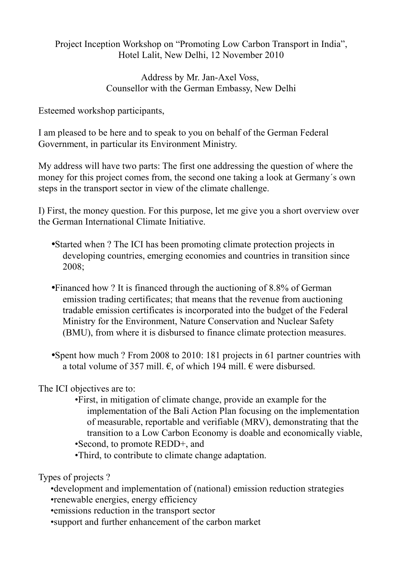Project Inception Workshop on "Promoting Low Carbon Transport in India", Hotel Lalit, New Delhi, 12 November 2010

> Address by Mr. Jan-Axel Voss, Counsellor with the German Embassy, New Delhi

Esteemed workshop participants,

I am pleased to be here and to speak to you on behalf of the German Federal Government, in particular its Environment Ministry.

My address will have two parts: The first one addressing the question of where the money for this project comes from, the second one taking a look at Germany´s own steps in the transport sector in view of the climate challenge.

I) First, the money question. For this purpose, let me give you a short overview over the German International Climate Initiative.

- •Started when ? The ICI has been promoting climate protection projects in developing countries, emerging economies and countries in transition since 2008;
- •Financed how ? It is financed through the auctioning of 8.8% of German emission trading certificates; that means that the revenue from auctioning tradable emission certificates is incorporated into the budget of the Federal Ministry for the Environment, Nature Conservation and Nuclear Safety (BMU), from where it is disbursed to finance climate protection measures.
- •Spent how much ? From 2008 to 2010: 181 projects in 61 partner countries with a total volume of 357 mill.  $\epsilon$ , of which 194 mill.  $\epsilon$  were disbursed.

The ICI objectives are to:

•First, in mitigation of climate change, provide an example for the implementation of the Bali Action Plan focusing on the implementation of measurable, reportable and verifiable (MRV), demonstrating that the transition to a Low Carbon Economy is doable and economically viable, •Second, to promote REDD+, and

•Third, to contribute to climate change adaptation.

Types of projects ?

•development and implementation of (national) emission reduction strategies •renewable energies, energy efficiency

- •emissions reduction in the transport sector
- •support and further enhancement of the carbon market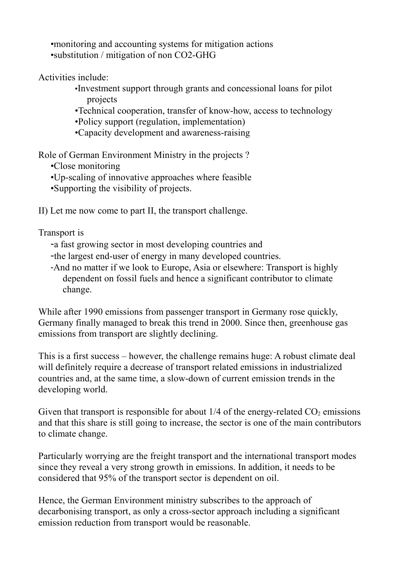•monitoring and accounting systems for mitigation actions •substitution / mitigation of non CO2-GHG

Activities include:

- •Investment support through grants and concessional loans for pilot projects
- •Technical cooperation, transfer of know-how, access to technology
- •Policy support (regulation, implementation)
- •Capacity development and awareness-raising

Role of German Environment Ministry in the projects ?

•Close monitoring

- •Up-scaling of innovative approaches where feasible
- •Supporting the visibility of projects.

II) Let me now come to part II, the transport challenge.

Transport is

- -a fast growing sector in most developing countries and
- -the largest end-user of energy in many developed countries.
- -And no matter if we look to Europe, Asia or elsewhere: Transport is highly dependent on fossil fuels and hence a significant contributor to climate change.

While after 1990 emissions from passenger transport in Germany rose quickly, Germany finally managed to break this trend in 2000. Since then, greenhouse gas emissions from transport are slightly declining.

This is a first success – however, the challenge remains huge: A robust climate deal will definitely require a decrease of transport related emissions in industrialized countries and, at the same time, a slow-down of current emission trends in the developing world.

Given that transport is responsible for about  $1/4$  of the energy-related  $CO<sub>2</sub>$  emissions and that this share is still going to increase, the sector is one of the main contributors to climate change.

Particularly worrying are the freight transport and the international transport modes since they reveal a very strong growth in emissions. In addition, it needs to be considered that 95% of the transport sector is dependent on oil.

Hence, the German Environment ministry subscribes to the approach of decarbonising transport, as only a cross-sector approach including a significant emission reduction from transport would be reasonable.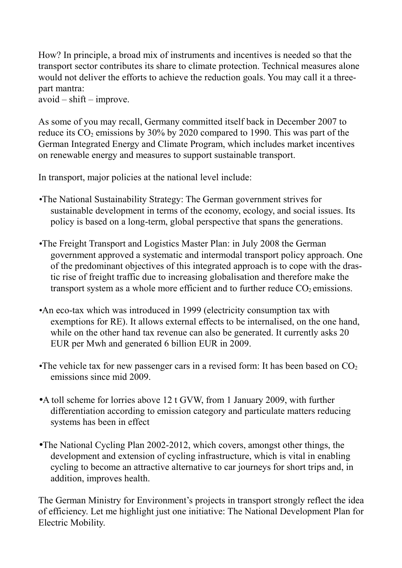How? In principle, a broad mix of instruments and incentives is needed so that the transport sector contributes its share to climate protection. Technical measures alone would not deliver the efforts to achieve the reduction goals. You may call it a threepart mantra:

 $a\text{void}$  –  $\text{shift}$  – improve.

As some of you may recall, Germany committed itself back in December 2007 to reduce its  $CO_2$  emissions by 30% by 2020 compared to 1990. This was part of the German Integrated Energy and Climate Program, which includes market incentives on renewable energy and measures to support sustainable transport.

In transport, major policies at the national level include:

- •The National Sustainability Strategy: The German government strives for sustainable development in terms of the economy, ecology, and social issues. Its policy is based on a long-term, global perspective that spans the generations.
- •The Freight Transport and Logistics Master Plan: in July 2008 the German government approved a systematic and intermodal transport policy approach. One of the predominant objectives of this integrated approach is to cope with the drastic rise of freight traffic due to increasing globalisation and therefore make the transport system as a whole more efficient and to further reduce  $CO<sub>2</sub>$  emissions.
- •An eco-tax which was introduced in 1999 (electricity consumption tax with exemptions for RE). It allows external effects to be internalised, on the one hand, while on the other hand tax revenue can also be generated. It currently asks 20 EUR per Mwh and generated 6 billion EUR in 2009.
- •The vehicle tax for new passenger cars in a revised form: It has been based on  $CO<sub>2</sub>$ emissions since mid 2009.
- •A toll scheme for lorries above 12 t GVW, from 1 January 2009, with further differentiation according to emission category and particulate matters reducing systems has been in effect
- •The National Cycling Plan 2002-2012, which covers, amongst other things, the development and extension of cycling infrastructure, which is vital in enabling cycling to become an attractive alternative to car journeys for short trips and, in addition, improves health.

The German Ministry for Environment's projects in transport strongly reflect the idea of efficiency. Let me highlight just one initiative: The National Development Plan for Electric Mobility.